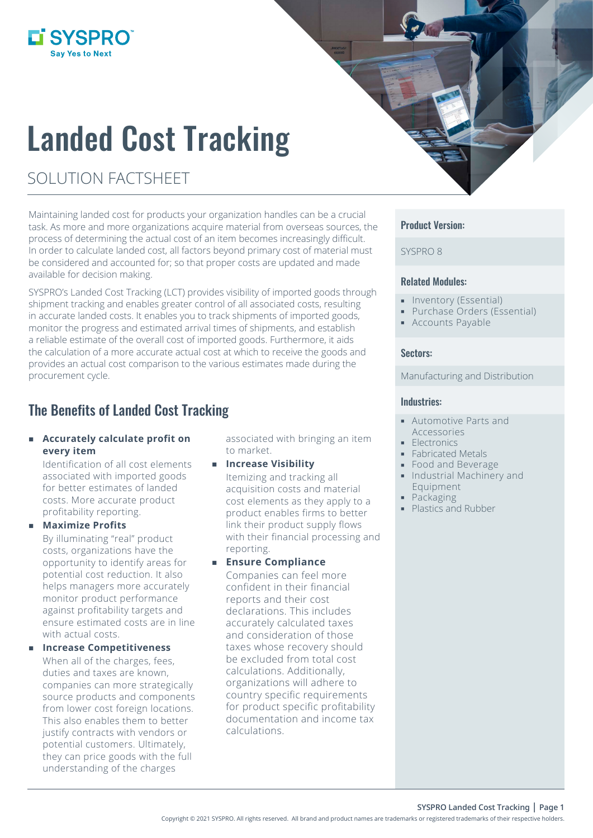# Landed Cost Tracking

# SOLUTION FACTSHEET

**L'SYSPRO** 

Maintaining landed cost for products your organization handles can be a crucial task. As more and more organizations acquire material from overseas sources, the process of determining the actual cost of an item becomes increasingly difficult. In order to calculate landed cost, all factors beyond primary cost of material must be considered and accounted for; so that proper costs are updated and made available for decision making.

SYSPRO's Landed Cost Tracking (LCT) provides visibility of imported goods through shipment tracking and enables greater control of all associated costs, resulting in accurate landed costs. It enables you to track shipments of imported goods, monitor the progress and estimated arrival times of shipments, and establish a reliable estimate of the overall cost of imported goods. Furthermore, it aids the calculation of a more accurate actual cost at which to receive the goods and provides an actual cost comparison to the various estimates made during the procurement cycle.

## The Benefits of Landed Cost Tracking

#### **Accurately calculate profit on every item**

Identification of all cost elements associated with imported goods for better estimates of landed costs. More accurate product profitability reporting.

#### **Maximize Profits**

By illuminating "real" product costs, organizations have the opportunity to identify areas for potential cost reduction. It also helps managers more accurately monitor product performance against profitability targets and ensure estimated costs are in line with actual costs.

#### **Increase Competitiveness**

When all of the charges, fees, duties and taxes are known, companies can more strategically source products and components from lower cost foreign locations. This also enables them to better justify contracts with vendors or potential customers. Ultimately, they can price goods with the full understanding of the charges

associated with bringing an item to market.

#### **Increase Visibility** Itemizing and tracking all

acquisition costs and material cost elements as they apply to a product enables firms to better link their product supply flows with their financial processing and reporting.

#### **Ensure Compliance**

Companies can feel more confident in their financial reports and their cost declarations. This includes accurately calculated taxes and consideration of those taxes whose recovery should be excluded from total cost calculations. Additionally, organizations will adhere to country specific requirements for product specific profitability documentation and income tax calculations.

#### Product Version:

SYSPRO 8

#### Related Modules:

- **Inventory (Essential)**
- **Purchase Orders (Essential)**
- **Accounts Payable**

#### Sectors:

#### Manufacturing and Distribution

#### Industries:

- Automotive Parts and Accessories
- **Electronics**
- **Fabricated Metals**
- **Food and Beverage**
- **Industrial Machinery and** Equipment
- **Packaging**
- Plastics and Rubber

**SYSPRO Landed Cost Tracking | Page 1**